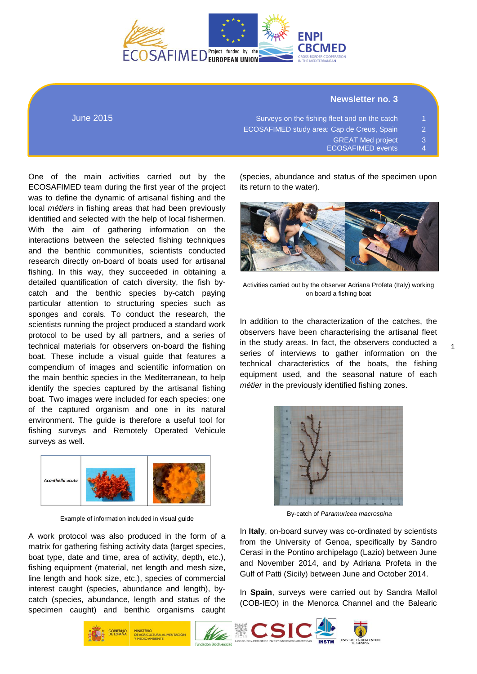

### **Newsletter no. 3**

| Surveys on the fishing fleet and on the catch     | $\blacktriangleleft$ |
|---------------------------------------------------|----------------------|
| <b>ECOSAFIMED study area: Cap de Creus, Spain</b> | 2.                   |
| <b>GREAT Med project</b>                          | 3.                   |
| <b>ECOSAFIMED events</b>                          | $\mathbf{\Lambda}$   |

One of the main activities carried out by the ECOSAFIMED team during the first year of the project was to define the dynamic of artisanal fishing and the local *métiers* in fishing areas that had been previously identified and selected with the help of local fishermen. With the aim of gathering information on the interactions between the selected fishing techniques and the benthic communities, scientists conducted research directly on-board of boats used for artisanal fishing. In this way, they succeeded in obtaining a detailed quantification of catch diversity, the fish bycatch and the benthic species by-catch paying particular attention to structuring species such as sponges and corals. To conduct the research, the scientists running the project produced a standard work protocol to be used by all partners, and a series of technical materials for observers on-board the fishing boat. These include a visual guide that features a compendium of images and scientific information on the main benthic species in the Mediterranean, to help identify the species captured by the artisanal fishing boat. Two images were included for each species: one of the captured organism and one in its natural environment. The guide is therefore a useful tool for fishing surveys and Remotely Operated Vehicule surveys as well.

June 2015



Example of information included in visual guide

A work protocol was also produced in the form of a matrix for gathering fishing activity data (target species, boat type, date and time, area of activity, depth, etc.), fishing equipment (material, net length and mesh size, line length and hook size, etc.), species of commercial interest caught (species, abundance and length), bycatch (species, abundance, length and status of the specimen caught) and benthic organisms caught

(species, abundance and status of the specimen upon its return to the water).



Activities carried out by the observer Adriana Profeta (Italy) working on board a fishing boat

In addition to the characterization of the catches, the observers have been characterising the artisanal fleet in the study areas. In fact, the observers conducted a series of interviews to gather information on the technical characteristics of the boats, the fishing equipment used, and the seasonal nature of each *métier* in the previously identified fishing zones.

1



By-catch of *Paramuricea macrospina*

In **Italy**, on-board survey was co-ordinated by scientists from the University of Genoa, specifically by Sandro Cerasi in the Pontino archipelago (Lazio) between June and November 2014, and by Adriana Profeta in the Gulf of Patti (Sicily) between June and October 2014.

In **Spain**, surveys were carried out by Sandra Mallol (COB-IEO) in the Menorca Channel and the Balearic

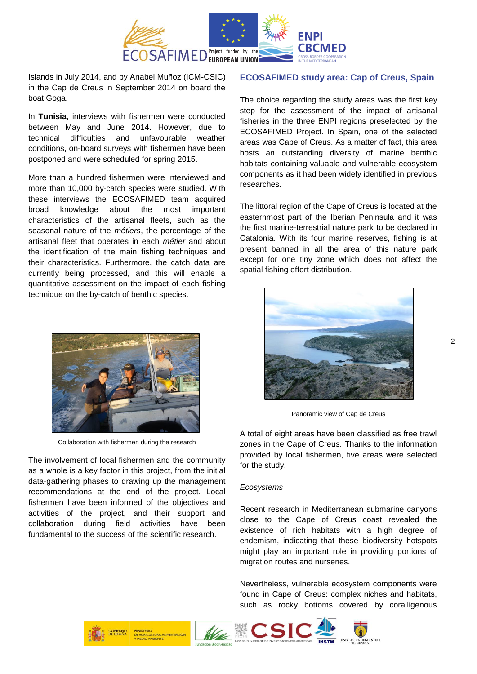

Islands in July 2014, and by Anabel Muñoz (ICM-CSIC) in the Cap de Creus in September 2014 on board the boat Goga.

In **Tunisia**, interviews with fishermen were conducted between May and June 2014. However, due to technical difficulties and unfavourable weather conditions, on-board surveys with fishermen have been postponed and were scheduled for spring 2015.

More than a hundred fishermen were interviewed and more than 10,000 by-catch species were studied. With these interviews the ECOSAFIMED team acquired broad knowledge about the most important characteristics of the artisanal fleets, such as the seasonal nature of the *métiers*, the percentage of the artisanal fleet that operates in each *métier* and about the identification of the main fishing techniques and their characteristics. Furthermore, the catch data are currently being processed, and this will enable a quantitative assessment on the impact of each fishing technique on the by-catch of benthic species.



Collaboration with fishermen during the research

The involvement of local fishermen and the community as a whole is a key factor in this project, from the initial data-gathering phases to drawing up the management recommendations at the end of the project. Local fishermen have been informed of the objectives and activities of the project, and their support and collaboration during field activities have been fundamental to the success of the scientific research.

### **ECOSAFIMED study area: Cap of Creus, Spain**

The choice regarding the study areas was the first key step for the assessment of the impact of artisanal fisheries in the three ENPI regions preselected by the ECOSAFIMED Project. In Spain, one of the selected areas was Cape of Creus. As a matter of fact, this area hosts an outstanding diversity of marine benthic habitats containing valuable and vulnerable ecosystem components as it had been widely identified in previous researches.

The littoral region of the Cape of Creus is located at the easternmost part of the Iberian Peninsula and it was the first marine-terrestrial nature park to be declared in Catalonia. With its four marine reserves, fishing is at present banned in all the area of this nature park except for one tiny zone which does not affect the spatial fishing effort distribution.



Panoramic view of Cap de Creus

A total of eight areas have been classified as free trawl zones in the Cape of Creus. Thanks to the information provided by local fishermen, five areas were selected for the study.

#### *Ecosystems*

Recent research in Mediterranean submarine canyons close to the Cape of Creus coast revealed the existence of rich habitats with a high degree of endemism, indicating that these biodiversity hotspots might play an important role in providing portions of migration routes and nurseries.

Nevertheless, vulnerable ecosystem components were found in Cape of Creus: complex niches and habitats, such as rocky bottoms covered by coralligenous

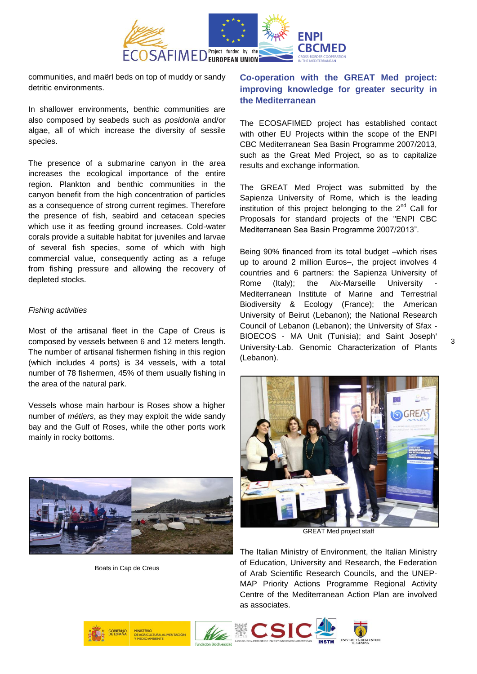

communities, and maërl beds on top of muddy or sandy detritic environments.

In shallower environments, benthic communities are also composed by seabeds such as *posidonia* and/or algae, all of which increase the diversity of sessile species.

The presence of a submarine canyon in the area increases the ecological importance of the entire region. Plankton and benthic communities in the canyon benefit from the high concentration of particles as a consequence of strong current regimes. Therefore the presence of fish, seabird and cetacean species which use it as feeding ground increases. Cold-water corals provide a suitable habitat for juveniles and larvae of several fish species, some of which with high commercial value, consequently acting as a refuge from fishing pressure and allowing the recovery of depleted stocks.

### *Fishing activities*

Most of the artisanal fleet in the Cape of Creus is composed by vessels between 6 and 12 meters length. The number of artisanal fishermen fishing in this region (which includes 4 ports) is 34 vessels, with a total number of 78 fishermen, 45% of them usually fishing in the area of the natural park.

Vessels whose main harbour is Roses show a higher number of *métiers*, as they may exploit the wide sandy bay and the Gulf of Roses, while the other ports work mainly in rocky bottoms.



Boats in Cap de Creus

# **Co-operation with the GREAT Med project: improving knowledge for greater security in the Mediterranean**

The ECOSAFIMED project has established contact with other EU Projects within the scope of the ENPI CBC Mediterranean Sea Basin Programme 2007/2013, such as the Great Med Project, so as to capitalize results and exchange information.

The GREAT Med Project was submitted by the Sapienza University of Rome, which is the leading institution of this project belonging to the  $2^{nd}$  Call for Proposals for standard projects of the "ENPI CBC Mediterranean Sea Basin Programme 2007/2013".

Being 90% financed from its total budget –which rises up to around 2 million Euros–, the project involves 4 countries and 6 partners: the Sapienza University of Rome (Italy); the Aix-Marseille University Mediterranean Institute of Marine and Terrestrial Biodiversity & Ecology (France); the American University of Beirut (Lebanon); the National Research Council of Lebanon (Lebanon); the University of Sfax - BIOECOS - MA Unit (Tunisia); and Saint Joseph' University-Lab. Genomic Characterization of Plants (Lebanon).



GREAT Med project staff

The Italian Ministry of Environment, the Italian Ministry of Education, University and Research, the Federation of Arab Scientific Research Councils, and the UNEP-MAP Priority Actions Programme Regional Activity Centre of the Mediterranean Action Plan are involved as associates.

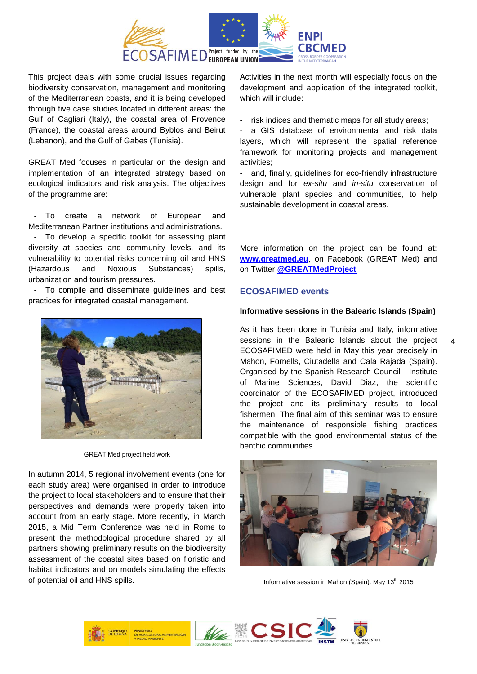

This project deals with some crucial issues regarding biodiversity conservation, management and monitoring of the Mediterranean coasts, and it is being developed through five case studies located in different areas: the Gulf of Cagliari (Italy), the coastal area of Provence (France), the coastal areas around Byblos and Beirut (Lebanon), and the Gulf of Gabes (Tunisia).

GREAT Med focuses in particular on the design and implementation of an integrated strategy based on ecological indicators and risk analysis. The objectives of the programme are:

To create a network of European and Mediterranean Partner institutions and administrations.

- To develop a specific toolkit for assessing plant diversity at species and community levels, and its vulnerability to potential risks concerning oil and HNS (Hazardous and Noxious Substances) spills, urbanization and tourism pressures.

- To compile and disseminate guidelines and best practices for integrated coastal management.



GREAT Med project field work

In autumn 2014, 5 regional involvement events (one for each study area) were organised in order to introduce the project to local stakeholders and to ensure that their perspectives and demands were properly taken into account from an early stage. More recently, in March 2015, a Mid Term Conference was held in Rome to present the methodological procedure shared by all partners showing preliminary results on the biodiversity assessment of the coastal sites based on floristic and habitat indicators and on models simulating the effects of potential oil and HNS spills.

Activities in the next month will especially focus on the development and application of the integrated toolkit, which will include:

risk indices and thematic maps for all study areas;

- a GIS database of environmental and risk data layers, which will represent the spatial reference framework for monitoring projects and management activities;

- and, finally, guidelines for eco-friendly infrastructure design and for *ex-situ* and *in-situ* conservation of vulnerable plant species and communities, to help sustainable development in coastal areas.

More information on the project can be found at: **[www.greatmed.eu](http://www.greatmed.eu/)**, on Facebook (GREAT Med) and on Twitter **[@GREATMedProject](https://twitter.com/GREATMedProject)**

# **ECOSAFIMED events**

### **Informative sessions in the Balearic Islands (Spain)**

As it has been done in Tunisia and Italy, informative sessions in the Balearic Islands about the project ECOSAFIMED were held in May this year precisely in Mahon, Fornells, Ciutadella and Cala Rajada (Spain). Organised by the [Spanish Research Council -](http://www.icm.csic.es/) Institute [of Marine Sciences,](http://www.icm.csic.es/) David Diaz, the scientific coordinator of the ECOSAFIMED project, introduced the project and its preliminary results to local fishermen. The final aim of this seminar was to ensure the maintenance of responsible fishing practices compatible with the good environmental status of the benthic communities.



Informative session in Mahon (Spain). May  $13<sup>th</sup>$  2015



4